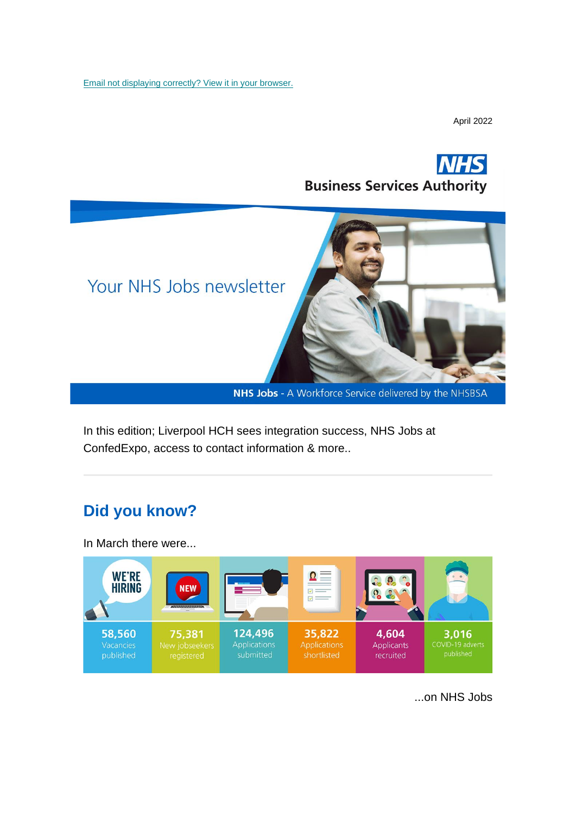[Email not displaying correctly? View it in your browser.](https://mailchi.mp/5b958cb2c2c7/nhs-jobs-newsletter-may-1877217?e=%5bUNIQID%5d)

April 2022





NHS Jobs - A Workforce Service delivered by the NHSBSA

In this edition; Liverpool HCH sees integration success, NHS Jobs at ConfedExpo, access to contact information & more..

#### **Did you know?**

In March there were...



...on NHS Jobs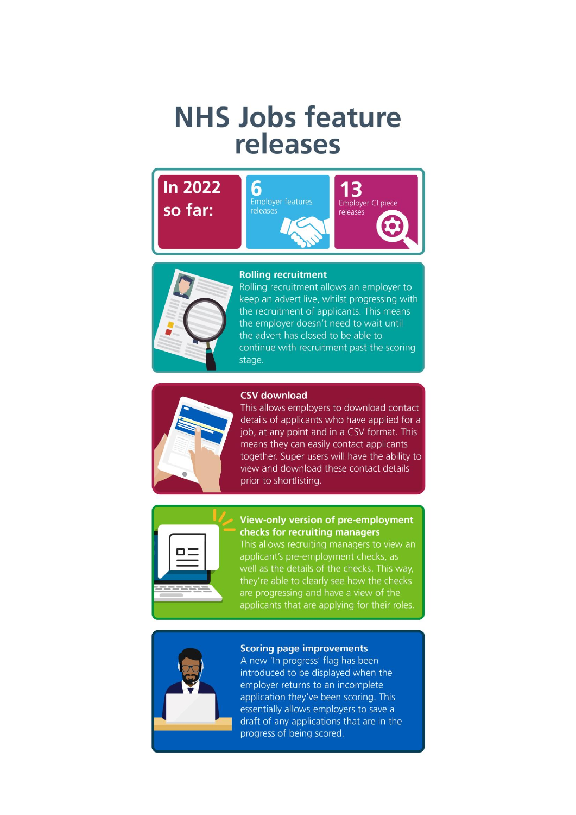# **NHS Jobs feature** releases







Rolling recruitment allows an employer to keep an advert live, whilst progressing with the recruitment of applicants. This means the employer doesn't need to wait until the advert has closed to be able to continue with recruitment past the scoring stage.





This allows employers to download contact details of applicants who have applied for a job, at any point and in a CSV format. This means they can easily contact applicants together. Super users will have the ability to view and download these contact details prior to shortlisting.



#### View-only version of pre-employment checks for recruiting managers

This allows recruiting managers to view an applicant's pre-employment checks, as well as the details of the checks. This way, they're able to clearly see how the checks are progressing and have a view of the applicants that are applying for their roles.



#### **Scoring page improvements**

A new 'In progress' flag has been introduced to be displayed when the employer returns to an incomplete application they've been scoring. This essentially allows employers to save a draft of any applications that are in the progress of being scored.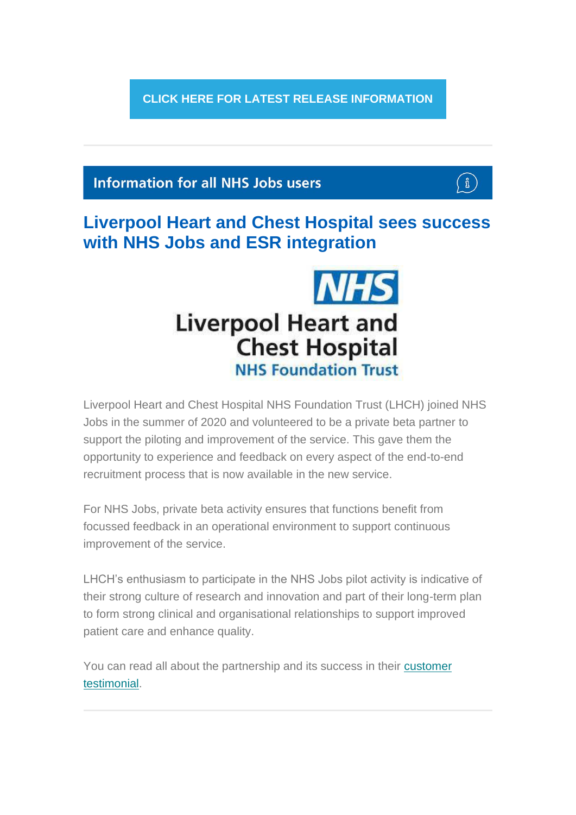**[CLICK HERE FOR LATEST RELEASE INFORMATION](https://www.nhsbsa.nhs.uk/new-nhs-jobs-service/help-and-support-employers)**

#### **Information for all NHS Jobs users**



**Liverpool Heart and Chest Hospital sees success with NHS Jobs and ESR integration**



Liverpool Heart and Chest Hospital NHS Foundation Trust (LHCH) joined NHS Jobs in the summer of 2020 and volunteered to be a private beta partner to support the piloting and improvement of the service. This gave them the opportunity to experience and feedback on every aspect of the end-to-end recruitment process that is now available in the new service.

For NHS Jobs, private beta activity ensures that functions benefit from focussed feedback in an operational environment to support continuous improvement of the service.

LHCH's enthusiasm to participate in the NHS Jobs pilot activity is indicative of their strong culture of research and innovation and part of their long-term plan to form strong clinical and organisational relationships to support improved patient care and enhance quality.

You can read all about the partnership and its success in their [customer](https://www.nhsbsa.nhs.uk/sites/default/files/2022-04/NHS%20Jobs%20case%20study-%20Liverpool%20Heart%20and%20Chest%20Hospital%20%28V0.4%29%2004.2022.pdf)  [testimonial.](https://www.nhsbsa.nhs.uk/sites/default/files/2022-04/NHS%20Jobs%20case%20study-%20Liverpool%20Heart%20and%20Chest%20Hospital%20%28V0.4%29%2004.2022.pdf)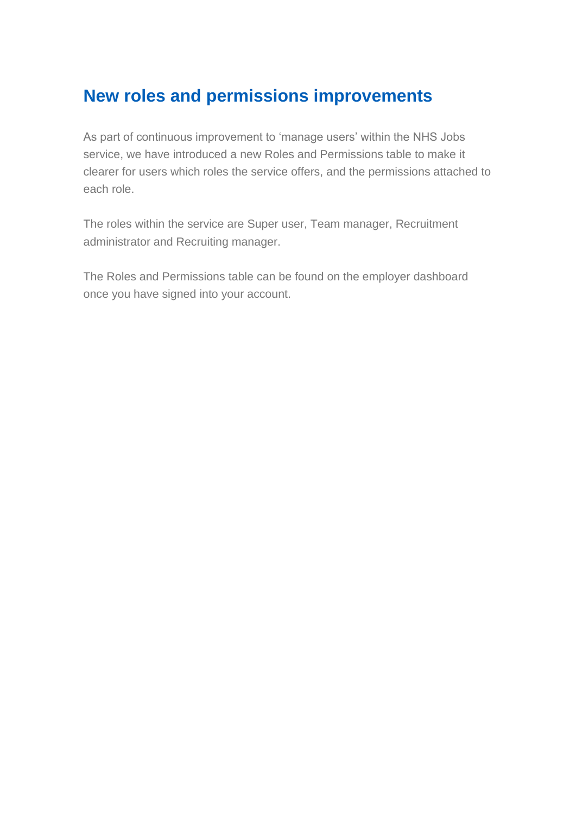## **New roles and permissions improvements**

As part of continuous improvement to 'manage users' within the NHS Jobs service, we have introduced a new Roles and Permissions table to make it clearer for users which roles the service offers, and the permissions attached to each role.

The roles within the service are Super user, Team manager, Recruitment administrator and Recruiting manager.

The Roles and Permissions table can be found on the employer dashboard once you have signed into your account.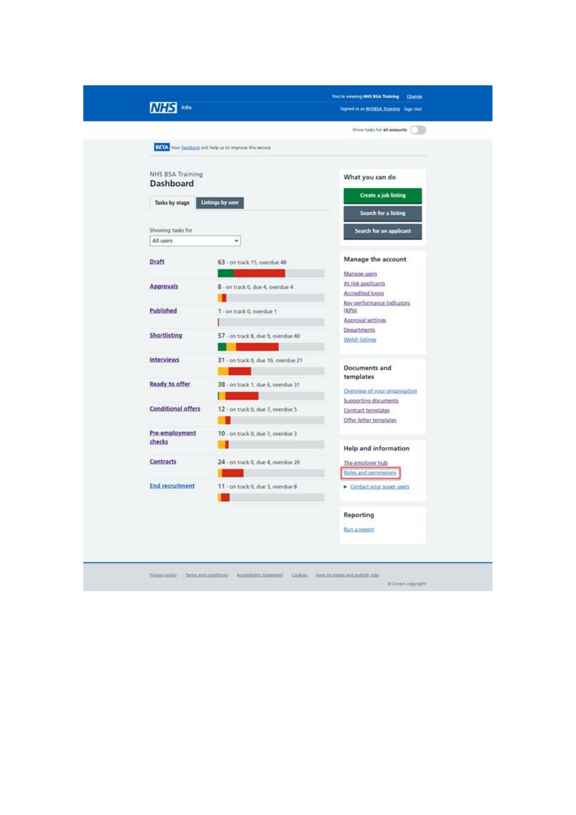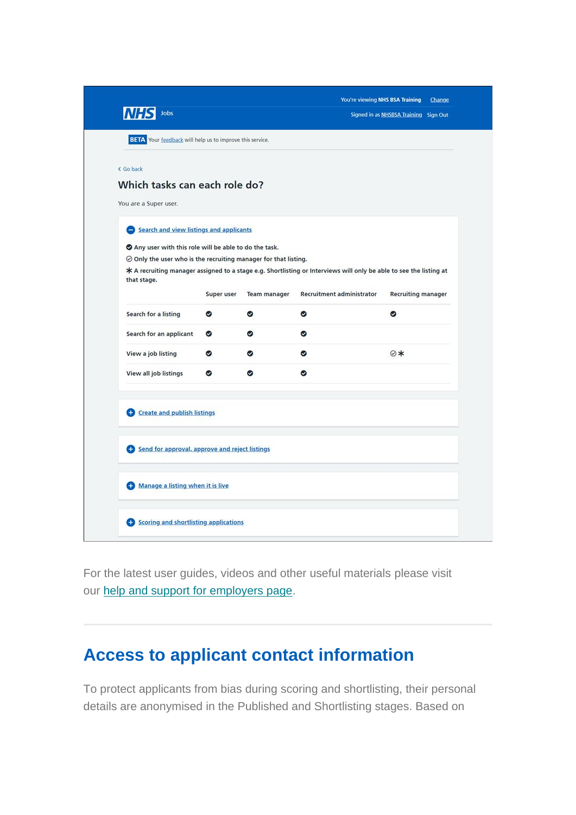| <b>NHS</b><br>Jobs                                                      |            |              | You're viewing NHS BSA Training<br>Change<br>Signed in as NHSBSA Training Sign Out                                 |                           |
|-------------------------------------------------------------------------|------------|--------------|--------------------------------------------------------------------------------------------------------------------|---------------------------|
| BETA Your feedback will help us to improve this service.                |            |              |                                                                                                                    |                           |
| < Go back                                                               |            |              |                                                                                                                    |                           |
| Which tasks can each role do?                                           |            |              |                                                                                                                    |                           |
| You are a Super user.                                                   |            |              |                                                                                                                    |                           |
|                                                                         |            |              |                                                                                                                    |                           |
| Search and view listings and applicants                                 |            |              |                                                                                                                    |                           |
| Any user with this role will be able to do the task.                    |            |              |                                                                                                                    |                           |
| $\oslash$ Only the user who is the recruiting manager for that listing. |            |              |                                                                                                                    |                           |
| that stage.                                                             |            |              | * A recruiting manager assigned to a stage e.g. Shortlisting or Interviews will only be able to see the listing at |                           |
|                                                                         | Super user | Team manager | <b>Recruitment administrator</b>                                                                                   | <b>Recruiting manager</b> |
| Search for a listing                                                    | ◉          | ◎            | ◎                                                                                                                  | ◎                         |
| Search for an applicant                                                 | ◉          | Ø            | Ø                                                                                                                  |                           |
| View a job listing                                                      | ۰          | ◎            | ✅                                                                                                                  | ⊘*                        |
| View all job listings                                                   | ◉          | Ø            | ø                                                                                                                  |                           |
|                                                                         |            |              |                                                                                                                    |                           |
| C Create and publish listings                                           |            |              |                                                                                                                    |                           |
| Send for approval, approve and reject listings                          |            |              |                                                                                                                    |                           |
|                                                                         |            |              |                                                                                                                    |                           |
| Manage a listing when it is live                                        |            |              |                                                                                                                    |                           |
|                                                                         |            |              |                                                                                                                    |                           |

For the latest user guides, videos and other useful materials please visit our [help and support for employers page.](https://www.nhsbsa.nhs.uk/new-nhs-jobs-service/help-and-support-employers)

#### **Access to applicant contact information**

To protect applicants from bias during scoring and shortlisting, their personal details are anonymised in the Published and Shortlisting stages. Based on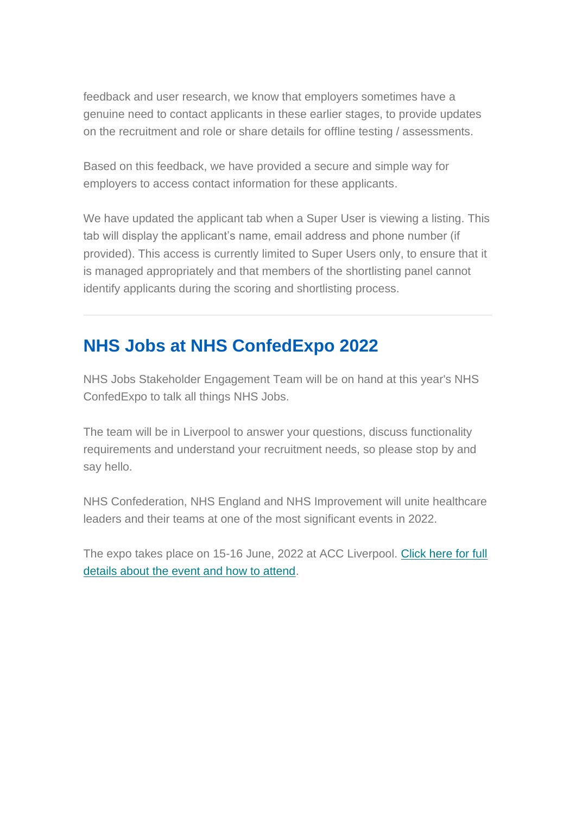feedback and user research, we know that employers sometimes have a genuine need to contact applicants in these earlier stages, to provide updates on the recruitment and role or share details for offline testing / assessments.

Based on this feedback, we have provided a secure and simple way for employers to access contact information for these applicants.

We have updated the applicant tab when a Super User is viewing a listing. This tab will display the applicant's name, email address and phone number (if provided). This access is currently limited to Super Users only, to ensure that it is managed appropriately and that members of the shortlisting panel cannot identify applicants during the scoring and shortlisting process.

### **NHS Jobs at NHS ConfedExpo 2022**

NHS Jobs Stakeholder Engagement Team will be on hand at this year's NHS ConfedExpo to talk all things NHS Jobs.

The team will be in Liverpool to answer your questions, discuss functionality requirements and understand your recruitment needs, so please stop by and say hello.

NHS Confederation, NHS England and NHS Improvement will unite healthcare leaders and their teams at one of the most significant events in 2022.

The expo takes place on 15-16 June, 2022 at ACC Liverpool. [Click here for full](https://www.nhsconfed.org/events/nhs-confedexpo)  [details about the event and how to attend.](https://www.nhsconfed.org/events/nhs-confedexpo)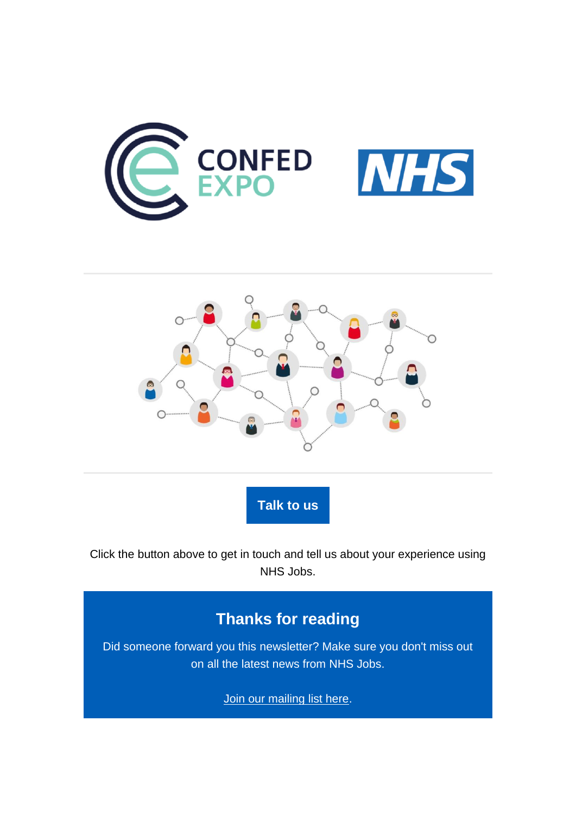



**[Talk to us](https://forms.office.com/Pages/ResponsePage.aspx?id=ggRtz7GGiE-MDDtN5MtALNGIW5yk0phPmNwvmz8hrOhUQTFBVEZIUkRHM09aNk9IMjVYRUJNSDFETy4u)**

Click the button above to get in touch and tell us about your experience using NHS Jobs.

#### **Thanks for reading**

Did someone forward you this newsletter? Make sure you don't miss out on all the latest news from NHS Jobs.

[Join our mailing list here.](http://nhs.us12.list-manage.com/subscribe?u=73c3d4c9798efad92c827e730&id=8af5dfef2b)